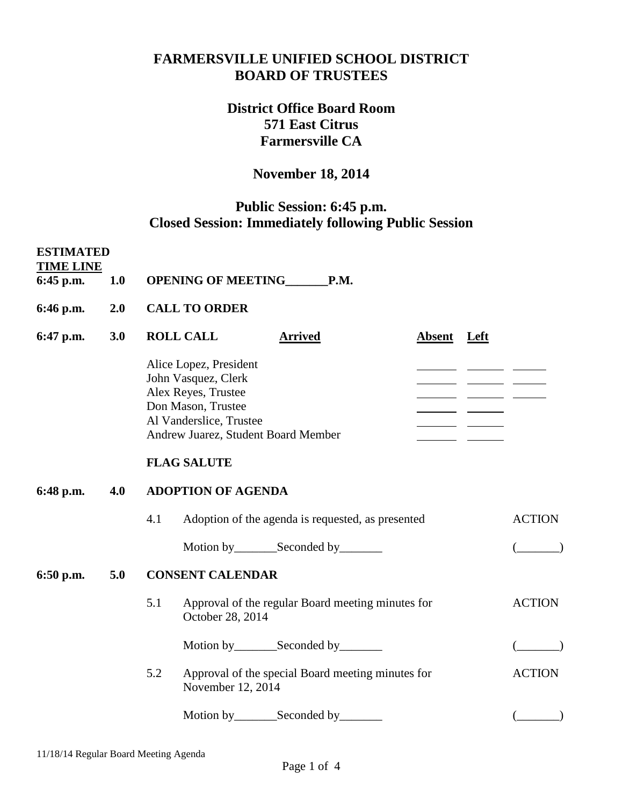## **FARMERSVILLE UNIFIED SCHOOL DISTRICT BOARD OF TRUSTEES**

# **District Office Board Room 571 East Citrus Farmersville CA**

## **November 18, 2014**

# **Public Session: 6:45 p.m. Closed Session: Immediately following Public Session**

| <b>ESTIMATED</b><br><b>TIME LINE</b><br>6:45 p.m. | <b>1.0</b> |                           | OPENING OF MEETING_______P.M.                                                                                                                                |                |                                                   |             |  |               |
|---------------------------------------------------|------------|---------------------------|--------------------------------------------------------------------------------------------------------------------------------------------------------------|----------------|---------------------------------------------------|-------------|--|---------------|
| 6:46 p.m.                                         | 2.0        |                           | <b>CALL TO ORDER</b>                                                                                                                                         |                |                                                   |             |  |               |
| 6:47 p.m.                                         | 3.0        |                           | <b>ROLL CALL</b>                                                                                                                                             | <b>Arrived</b> |                                                   | Absent Left |  |               |
|                                                   |            |                           | Alice Lopez, President<br>John Vasquez, Clerk<br>Alex Reyes, Trustee<br>Don Mason, Trustee<br>Al Vanderslice, Trustee<br>Andrew Juarez, Student Board Member |                |                                                   |             |  |               |
|                                                   |            |                           | <b>FLAG SALUTE</b>                                                                                                                                           |                |                                                   |             |  |               |
| 6:48 p.m.                                         | 4.0        | <b>ADOPTION OF AGENDA</b> |                                                                                                                                                              |                |                                                   |             |  |               |
|                                                   |            | 4.1                       |                                                                                                                                                              |                | Adoption of the agenda is requested, as presented |             |  | <b>ACTION</b> |
|                                                   |            |                           |                                                                                                                                                              |                |                                                   |             |  |               |
| 6:50 p.m.                                         | 5.0        | <b>CONSENT CALENDAR</b>   |                                                                                                                                                              |                |                                                   |             |  |               |
|                                                   |            | 5.1                       | October 28, 2014                                                                                                                                             |                | Approval of the regular Board meeting minutes for |             |  | <b>ACTION</b> |
|                                                   |            |                           |                                                                                                                                                              |                | Motion by_________Seconded by________             |             |  |               |
|                                                   |            | 5.2                       | November 12, 2014                                                                                                                                            |                | Approval of the special Board meeting minutes for |             |  | <b>ACTION</b> |
|                                                   |            |                           | Motion by_________Seconded by_                                                                                                                               |                |                                                   |             |  |               |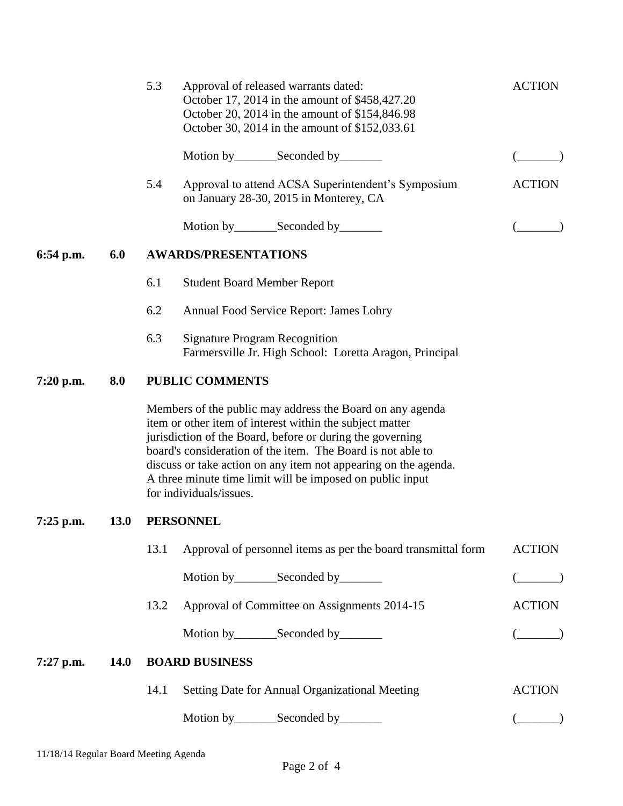|           |             | 5.3                         | Approval of released warrants dated:<br>October 17, 2014 in the amount of \$458,427.20<br>October 20, 2014 in the amount of \$154,846.98<br>October 30, 2014 in the amount of \$152,033.61                                                                                                                                                                                                                   | <b>ACTION</b> |  |  |  |
|-----------|-------------|-----------------------------|--------------------------------------------------------------------------------------------------------------------------------------------------------------------------------------------------------------------------------------------------------------------------------------------------------------------------------------------------------------------------------------------------------------|---------------|--|--|--|
|           |             |                             | Motion by _____________Seconded by ___________                                                                                                                                                                                                                                                                                                                                                               |               |  |  |  |
|           |             | 5.4                         | Approval to attend ACSA Superintendent's Symposium<br>on January 28-30, 2015 in Monterey, CA                                                                                                                                                                                                                                                                                                                 | <b>ACTION</b> |  |  |  |
|           |             |                             | Motion by________Seconded by________                                                                                                                                                                                                                                                                                                                                                                         |               |  |  |  |
| 6:54 p.m. | 6.0         | <b>AWARDS/PRESENTATIONS</b> |                                                                                                                                                                                                                                                                                                                                                                                                              |               |  |  |  |
|           |             | 6.1                         | <b>Student Board Member Report</b>                                                                                                                                                                                                                                                                                                                                                                           |               |  |  |  |
|           |             | 6.2                         | Annual Food Service Report: James Lohry                                                                                                                                                                                                                                                                                                                                                                      |               |  |  |  |
|           |             | 6.3                         | <b>Signature Program Recognition</b><br>Farmersville Jr. High School: Loretta Aragon, Principal                                                                                                                                                                                                                                                                                                              |               |  |  |  |
| 7:20 p.m. | 8.0         |                             | <b>PUBLIC COMMENTS</b>                                                                                                                                                                                                                                                                                                                                                                                       |               |  |  |  |
|           |             |                             | Members of the public may address the Board on any agenda<br>item or other item of interest within the subject matter<br>jurisdiction of the Board, before or during the governing<br>board's consideration of the item. The Board is not able to<br>discuss or take action on any item not appearing on the agenda.<br>A three minute time limit will be imposed on public input<br>for individuals/issues. |               |  |  |  |
| 7:25 p.m. | <b>13.0</b> | <b>PERSONNEL</b>            |                                                                                                                                                                                                                                                                                                                                                                                                              |               |  |  |  |
|           |             | 13.1                        | Approval of personnel items as per the board transmittal form                                                                                                                                                                                                                                                                                                                                                | <b>ACTION</b> |  |  |  |
|           |             |                             | Motion by_________Seconded by________                                                                                                                                                                                                                                                                                                                                                                        | $($ $)$       |  |  |  |
|           |             | 13.2                        | Approval of Committee on Assignments 2014-15                                                                                                                                                                                                                                                                                                                                                                 | <b>ACTION</b> |  |  |  |
|           |             |                             | Motion by__________Seconded by__________                                                                                                                                                                                                                                                                                                                                                                     | $($ )         |  |  |  |
| 7:27 p.m. | <b>14.0</b> |                             | <b>BOARD BUSINESS</b>                                                                                                                                                                                                                                                                                                                                                                                        |               |  |  |  |
|           |             | 14.1                        | Setting Date for Annual Organizational Meeting                                                                                                                                                                                                                                                                                                                                                               | <b>ACTION</b> |  |  |  |
|           |             |                             | Motion by __________ Seconded by _________                                                                                                                                                                                                                                                                                                                                                                   |               |  |  |  |
|           |             |                             |                                                                                                                                                                                                                                                                                                                                                                                                              |               |  |  |  |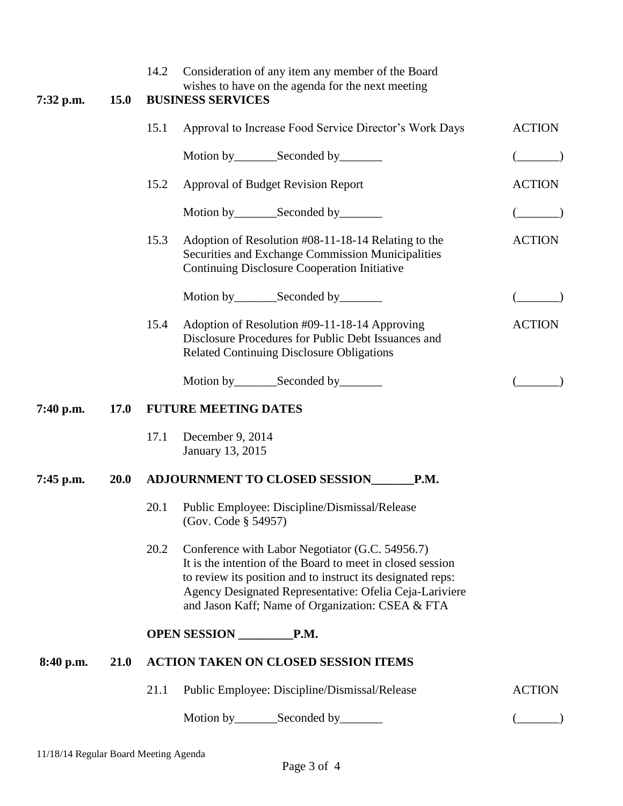| 7:32 p.m.   | <b>15.0</b> | Consideration of any item any member of the Board<br>14.2<br>wishes to have on the agenda for the next meeting<br><b>BUSINESS SERVICES</b>                                                                                                                                                          |                                                                                                                                                                 |               |  |  |
|-------------|-------------|-----------------------------------------------------------------------------------------------------------------------------------------------------------------------------------------------------------------------------------------------------------------------------------------------------|-----------------------------------------------------------------------------------------------------------------------------------------------------------------|---------------|--|--|
|             |             | 15.1                                                                                                                                                                                                                                                                                                | Approval to Increase Food Service Director's Work Days                                                                                                          |               |  |  |
|             |             |                                                                                                                                                                                                                                                                                                     | Motion by___________Seconded by__________                                                                                                                       |               |  |  |
|             |             | 15.2                                                                                                                                                                                                                                                                                                | <b>Approval of Budget Revision Report</b>                                                                                                                       | <b>ACTION</b> |  |  |
|             |             |                                                                                                                                                                                                                                                                                                     | Motion by___________Seconded by__________                                                                                                                       |               |  |  |
|             |             | 15.3                                                                                                                                                                                                                                                                                                | Adoption of Resolution #08-11-18-14 Relating to the<br>Securities and Exchange Commission Municipalities<br><b>Continuing Disclosure Cooperation Initiative</b> | <b>ACTION</b> |  |  |
|             |             |                                                                                                                                                                                                                                                                                                     | Motion by________Seconded by________                                                                                                                            |               |  |  |
|             |             | 15.4                                                                                                                                                                                                                                                                                                | Adoption of Resolution #09-11-18-14 Approving<br>Disclosure Procedures for Public Debt Issuances and<br><b>Related Continuing Disclosure Obligations</b>        | <b>ACTION</b> |  |  |
|             |             |                                                                                                                                                                                                                                                                                                     | Motion by___________Seconded by__________                                                                                                                       |               |  |  |
| 7:40 p.m.   | <b>17.0</b> | <b>FUTURE MEETING DATES</b>                                                                                                                                                                                                                                                                         |                                                                                                                                                                 |               |  |  |
|             |             | 17.1<br>December 9, 2014<br>January 13, 2015                                                                                                                                                                                                                                                        |                                                                                                                                                                 |               |  |  |
| $7:45$ p.m. | <b>20.0</b> | <b>ADJOURNMENT TO CLOSED SESSION</b><br>P.M.                                                                                                                                                                                                                                                        |                                                                                                                                                                 |               |  |  |
|             |             | 20.1                                                                                                                                                                                                                                                                                                | Public Employee: Discipline/Dismissal/Release<br>(Gov. Code $\S$ 54957)                                                                                         |               |  |  |
|             |             | 20.2<br>Conference with Labor Negotiator (G.C. 54956.7)<br>It is the intention of the Board to meet in closed session<br>to review its position and to instruct its designated reps:<br>Agency Designated Representative: Ofelia Ceja-Lariviere<br>and Jason Kaff; Name of Organization: CSEA & FTA |                                                                                                                                                                 |               |  |  |
|             |             | OPEN SESSION P.M.                                                                                                                                                                                                                                                                                   |                                                                                                                                                                 |               |  |  |
| 8:40 p.m.   | 21.0        | <b>ACTION TAKEN ON CLOSED SESSION ITEMS</b>                                                                                                                                                                                                                                                         |                                                                                                                                                                 |               |  |  |
|             |             | 21.1<br>Public Employee: Discipline/Dismissal/Release                                                                                                                                                                                                                                               | <b>ACTION</b>                                                                                                                                                   |               |  |  |
|             |             |                                                                                                                                                                                                                                                                                                     | Motion by________Seconded by________                                                                                                                            |               |  |  |